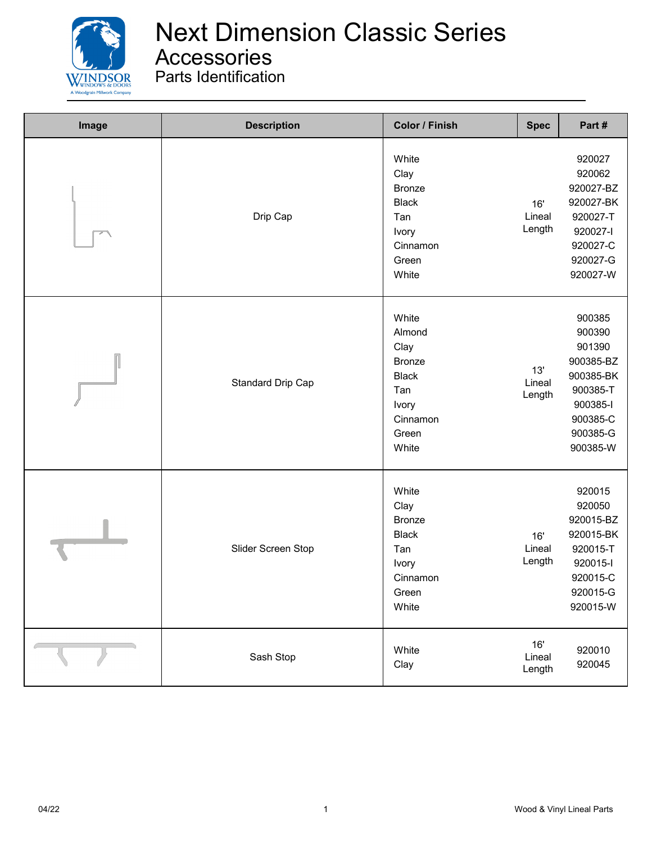

**Accessories** 

| Image | <b>Description</b> | <b>Color / Finish</b>                                                                                  | <b>Spec</b>             | Part#                                                                                                            |
|-------|--------------------|--------------------------------------------------------------------------------------------------------|-------------------------|------------------------------------------------------------------------------------------------------------------|
|       | Drip Cap           | White<br>Clay<br><b>Bronze</b><br><b>Black</b><br>Tan<br>Ivory<br>Cinnamon<br>Green<br>White           | 16'<br>Lineal<br>Length | 920027<br>920062<br>920027-BZ<br>920027-BK<br>920027-T<br>920027-l<br>920027-C<br>920027-G<br>920027-W           |
|       | Standard Drip Cap  | White<br>Almond<br>Clay<br><b>Bronze</b><br><b>Black</b><br>Tan<br>Ivory<br>Cinnamon<br>Green<br>White | 13'<br>Lineal<br>Length | 900385<br>900390<br>901390<br>900385-BZ<br>900385-BK<br>900385-T<br>900385-I<br>900385-C<br>900385-G<br>900385-W |
|       | Slider Screen Stop | White<br>Clay<br><b>Bronze</b><br><b>Black</b><br>Tan<br>Ivory<br>Cinnamon<br>Green<br>White           | 16'<br>Lineal<br>Length | 920015<br>920050<br>920015-BZ<br>920015-BK<br>920015-T<br>920015-l<br>920015-C<br>920015-G<br>920015-W           |
|       | Sash Stop          | White<br>Clay                                                                                          | 16'<br>Lineal<br>Length | 920010<br>920045                                                                                                 |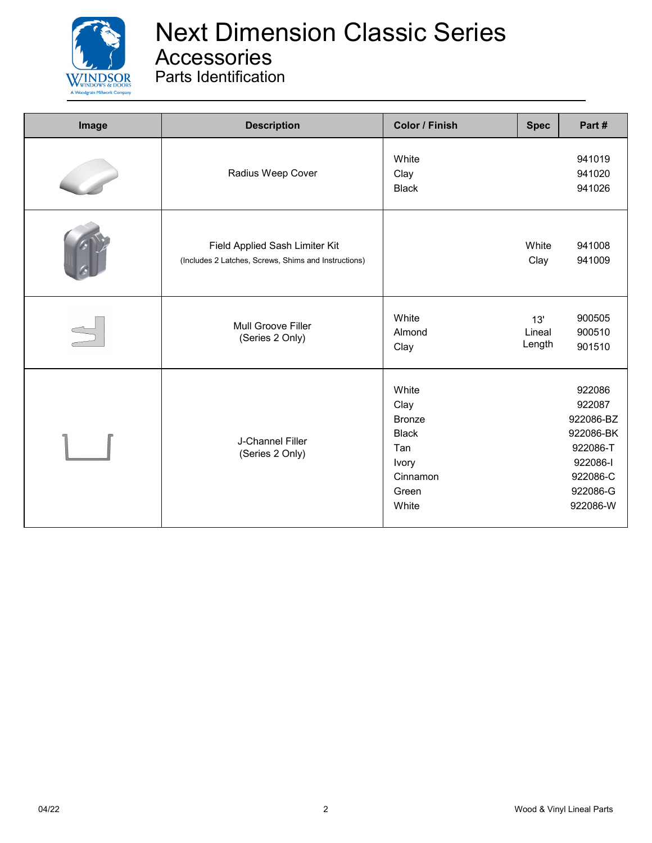

## Next Dimension Classic Series **Accessories**

| Image | <b>Description</b>                                                                     | <b>Color / Finish</b>                                                                        | <b>Spec</b>             | Part#                                                                                                  |
|-------|----------------------------------------------------------------------------------------|----------------------------------------------------------------------------------------------|-------------------------|--------------------------------------------------------------------------------------------------------|
|       | Radius Weep Cover                                                                      | White<br>Clay<br><b>Black</b>                                                                |                         | 941019<br>941020<br>941026                                                                             |
|       | Field Applied Sash Limiter Kit<br>(Includes 2 Latches, Screws, Shims and Instructions) |                                                                                              | White<br>Clay           | 941008<br>941009                                                                                       |
|       | Mull Groove Filler<br>(Series 2 Only)                                                  | White<br>Almond<br>Clay                                                                      | 13'<br>Lineal<br>Length | 900505<br>900510<br>901510                                                                             |
|       | J-Channel Filler<br>(Series 2 Only)                                                    | White<br>Clay<br><b>Bronze</b><br><b>Black</b><br>Tan<br>Ivory<br>Cinnamon<br>Green<br>White |                         | 922086<br>922087<br>922086-BZ<br>922086-BK<br>922086-T<br>922086-l<br>922086-C<br>922086-G<br>922086-W |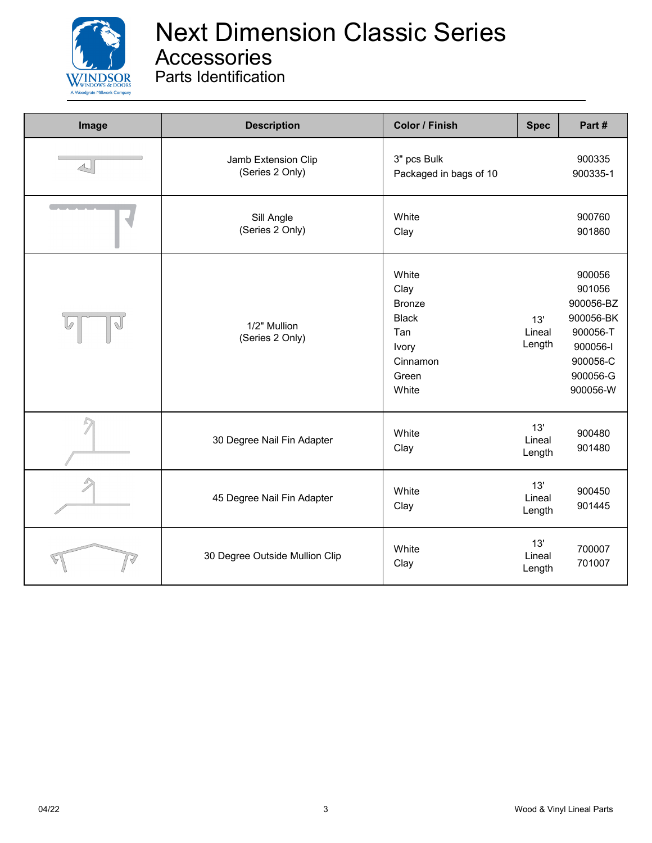

## Next Dimension Classic Series **Accessories**

| Image                               | <b>Description</b>                     | <b>Color / Finish</b>                                                                        | <b>Spec</b>             | Part#                                                                                                  |
|-------------------------------------|----------------------------------------|----------------------------------------------------------------------------------------------|-------------------------|--------------------------------------------------------------------------------------------------------|
|                                     | Jamb Extension Clip<br>(Series 2 Only) | 3" pcs Bulk<br>Packaged in bags of 10                                                        |                         | 900335<br>900335-1                                                                                     |
| $\overline{C}$ , and $\overline{C}$ | Sill Angle<br>(Series 2 Only)          | White<br>Clay                                                                                |                         | 900760<br>901860                                                                                       |
| V<br>$\mathbb{Q}$                   | 1/2" Mullion<br>(Series 2 Only)        | White<br>Clay<br><b>Bronze</b><br><b>Black</b><br>Tan<br>Ivory<br>Cinnamon<br>Green<br>White | 13'<br>Lineal<br>Length | 900056<br>901056<br>900056-BZ<br>900056-BK<br>900056-T<br>900056-I<br>900056-C<br>900056-G<br>900056-W |
|                                     | 30 Degree Nail Fin Adapter             | White<br>Clay                                                                                | 13'<br>Lineal<br>Length | 900480<br>901480                                                                                       |
|                                     | 45 Degree Nail Fin Adapter             | White<br>Clay                                                                                | 13'<br>Lineal<br>Length | 900450<br>901445                                                                                       |
|                                     | 30 Degree Outside Mullion Clip         | White<br>Clay                                                                                | 13'<br>Lineal<br>Length | 700007<br>701007                                                                                       |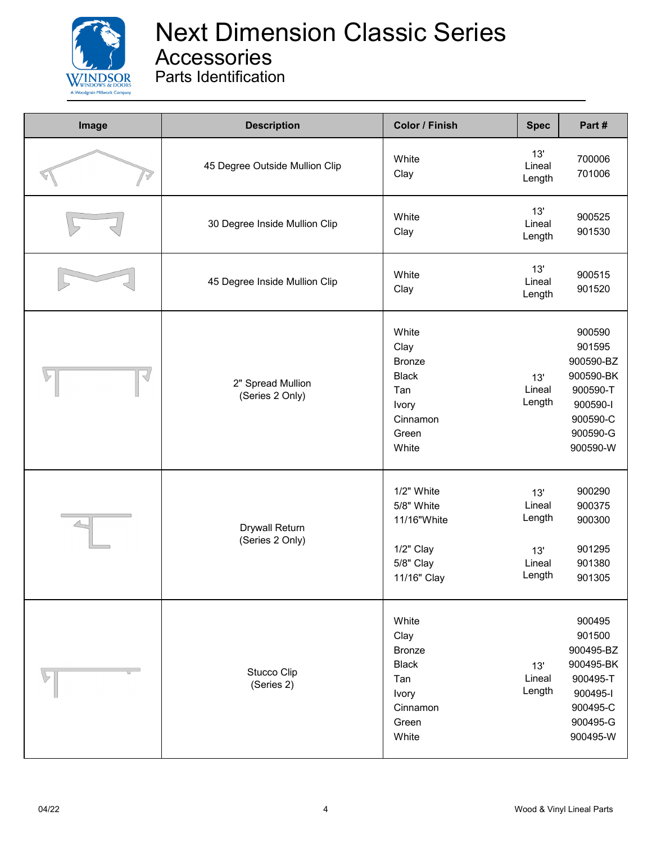

| Image | <b>Description</b>                       | <b>Color / Finish</b>                                                                        | <b>Spec</b>                                        | Part#                                                                                                  |
|-------|------------------------------------------|----------------------------------------------------------------------------------------------|----------------------------------------------------|--------------------------------------------------------------------------------------------------------|
|       | 45 Degree Outside Mullion Clip           | White<br>Clay                                                                                | 13'<br>Lineal<br>Length                            | 700006<br>701006                                                                                       |
|       | 30 Degree Inside Mullion Clip            | White<br>Clay                                                                                | 13'<br>Lineal<br>Length                            | 900525<br>901530                                                                                       |
|       | 45 Degree Inside Mullion Clip            | White<br>Clay                                                                                | 13'<br>Lineal<br>Length                            | 900515<br>901520                                                                                       |
| √     | 2" Spread Mullion<br>(Series 2 Only)     | White<br>Clay<br><b>Bronze</b><br><b>Black</b><br>Tan<br>Ivory<br>Cinnamon<br>Green<br>White | 13'<br>Lineal<br>Length                            | 900590<br>901595<br>900590-BZ<br>900590-BK<br>900590-T<br>900590-l<br>900590-C<br>900590-G<br>900590-W |
|       | <b>Drywall Return</b><br>(Series 2 Only) | 1/2" White<br>5/8" White<br>11/16"White<br>1/2" Clay<br>5/8" Clay<br>11/16" Clay             | 13'<br>Lineal<br>Length<br>13'<br>Lineal<br>Length | 900290<br>900375<br>900300<br>901295<br>901380<br>901305                                               |
|       | Stucco Clip<br>(Series 2)                | White<br>Clay<br><b>Bronze</b><br><b>Black</b><br>Tan<br>Ivory<br>Cinnamon<br>Green<br>White | 13'<br>Lineal<br>Length                            | 900495<br>901500<br>900495-BZ<br>900495-BK<br>900495-T<br>900495-l<br>900495-C<br>900495-G<br>900495-W |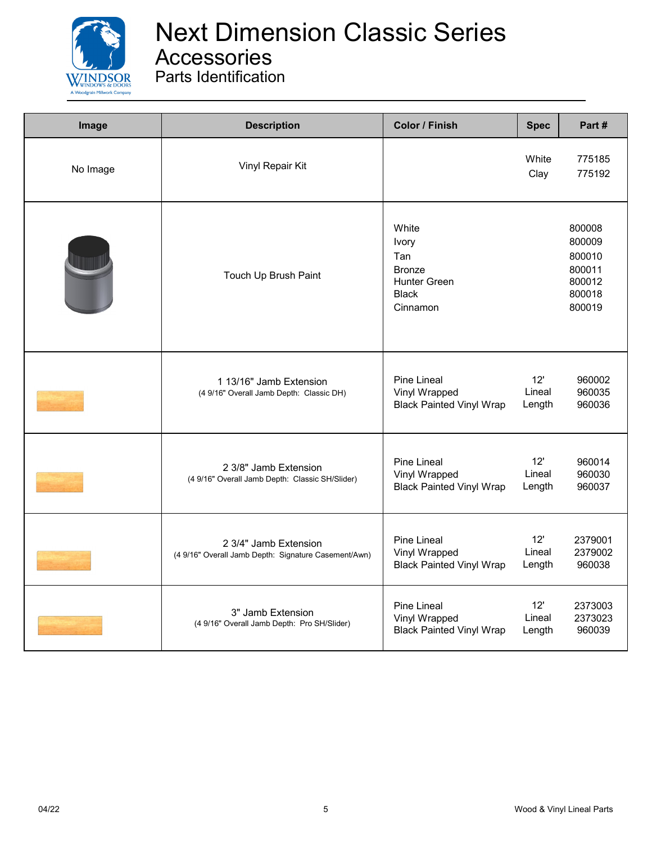

| Image    | <b>Description</b>                                                            | <b>Color / Finish</b>                                                              | <b>Spec</b>             | Part#                                                              |
|----------|-------------------------------------------------------------------------------|------------------------------------------------------------------------------------|-------------------------|--------------------------------------------------------------------|
| No Image | Vinyl Repair Kit                                                              |                                                                                    | White<br>Clay           | 775185<br>775192                                                   |
|          | Touch Up Brush Paint                                                          | White<br>Ivory<br>Tan<br><b>Bronze</b><br>Hunter Green<br><b>Black</b><br>Cinnamon |                         | 800008<br>800009<br>800010<br>800011<br>800012<br>800018<br>800019 |
|          | 1 13/16" Jamb Extension<br>(4 9/16" Overall Jamb Depth: Classic DH)           | Pine Lineal<br>Vinyl Wrapped<br><b>Black Painted Vinyl Wrap</b>                    | 12'<br>Lineal<br>Length | 960002<br>960035<br>960036                                         |
|          | 2 3/8" Jamb Extension<br>(4 9/16" Overall Jamb Depth: Classic SH/Slider)      | Pine Lineal<br>Vinyl Wrapped<br><b>Black Painted Vinyl Wrap</b>                    | 12'<br>Lineal<br>Length | 960014<br>960030<br>960037                                         |
|          | 2 3/4" Jamb Extension<br>(4 9/16" Overall Jamb Depth: Signature Casement/Awn) | <b>Pine Lineal</b><br>Vinyl Wrapped<br><b>Black Painted Vinyl Wrap</b>             | 12'<br>Lineal<br>Length | 2379001<br>2379002<br>960038                                       |
|          | 3" Jamb Extension<br>(4 9/16" Overall Jamb Depth: Pro SH/Slider)              | <b>Pine Lineal</b><br>Vinyl Wrapped<br><b>Black Painted Vinyl Wrap</b>             | 12'<br>Lineal<br>Length | 2373003<br>2373023<br>960039                                       |